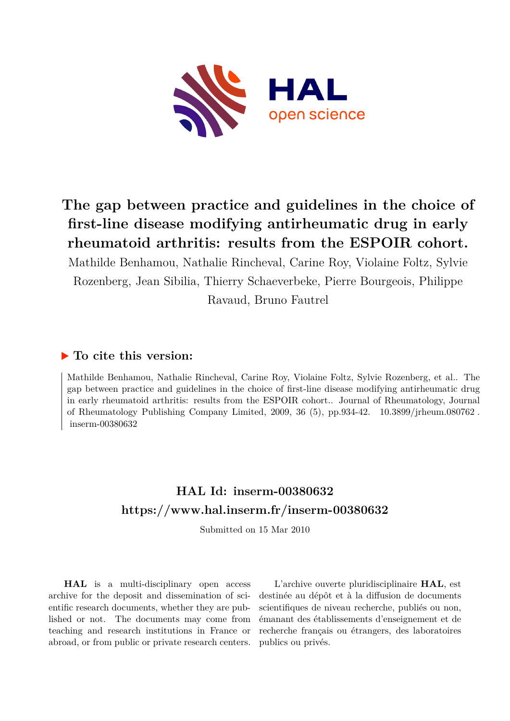

# **The gap between practice and guidelines in the choice of first-line disease modifying antirheumatic drug in early rheumatoid arthritis: results from the ESPOIR cohort.**

Mathilde Benhamou, Nathalie Rincheval, Carine Roy, Violaine Foltz, Sylvie Rozenberg, Jean Sibilia, Thierry Schaeverbeke, Pierre Bourgeois, Philippe Ravaud, Bruno Fautrel

## **To cite this version:**

Mathilde Benhamou, Nathalie Rincheval, Carine Roy, Violaine Foltz, Sylvie Rozenberg, et al.. The gap between practice and guidelines in the choice of first-line disease modifying antirheumatic drug in early rheumatoid arthritis: results from the ESPOIR cohort.. Journal of Rheumatology, Journal of Rheumatology Publishing Company Limited, 2009, 36 (5), pp.934-42. 10.3899/jrheum.080762.  $inserm-00380632$ 

# **HAL Id: inserm-00380632 <https://www.hal.inserm.fr/inserm-00380632>**

Submitted on 15 Mar 2010

**HAL** is a multi-disciplinary open access archive for the deposit and dissemination of scientific research documents, whether they are published or not. The documents may come from teaching and research institutions in France or abroad, or from public or private research centers.

L'archive ouverte pluridisciplinaire **HAL**, est destinée au dépôt et à la diffusion de documents scientifiques de niveau recherche, publiés ou non, émanant des établissements d'enseignement et de recherche français ou étrangers, des laboratoires publics ou privés.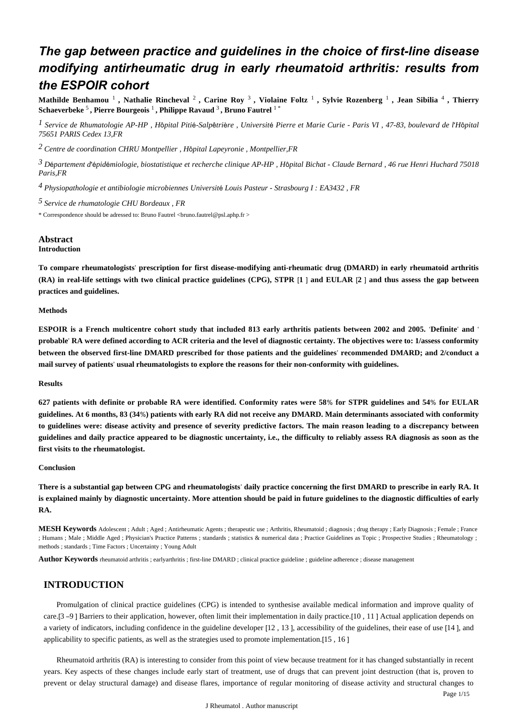## *The gap between practice and guidelines in the choice of first-line disease modifying antirheumatic drug in early rheumatoid arthritis: results from the ESPOIR cohort*

**Mathilde Benhamou** <sup>1</sup> **, Nathalie Rincheval** <sup>2</sup> **, Carine Roy** <sup>3</sup> **, Violaine Foltz** <sup>1</sup> **, Sylvie Rozenberg** <sup>1</sup> **, Jean Sibilia** <sup>4</sup> **, Thierry**  $\bf Schaeverbeke$   $\rm ^5$  , Pierre Bourgeois  $\rm ^1$  , Philippe Ravaud  $\rm ^3$  , Bruno Fautrel  $\rm ^1$   $\rm ^*$ 

*Service de Rhumatologie 1 AP-HP , H*ô*pital Piti*é*-Salp*ê*tri*è*re , Universit*é *Pierre et Marie Curie - Paris VI , 47-83, boulevard de l*'*H*ô*pital 75651 PARIS Cedex 13,FR*

*Centre de coordination 2 CHRU Montpellier , H*ô*pital Lapeyronie , Montpellier,FR*

*D partement d pid miologie, biostatistique et recherche clinique 3* <sup>é</sup> 'é <sup>é</sup> *AP-HP , H*ô*pital Bichat - Claude Bernard , 46 rue Henri Huchard 75018 Paris,FR*

*Physiopathologie et antibiologie microbiennes 4 Universit*é *Louis Pasteur - Strasbourg I : EA3432 , FR*

*Service de rhumatologie 5 CHU Bordeaux , FR*

\* Correspondence should be adressed to: Bruno Fautrel <bruno.fautrel@psl.aphp.fr >

## **Abstract**

**Introduction**

**To compare rheumatologists**' **prescription for first disease-modifying anti-rheumatic drug (DMARD) in early rheumatoid arthritis (RA) in real-life settings with two clinical practice guidelines (CPG), STPR** [**1** ] **and EULAR** [**2** ] **and thus assess the gap between practices and guidelines.**

#### **Methods**

**ESPOIR is a French multicentre cohort study that included 813 early arthritis patients between 2002 and 2005.** '**Definite**' **and** ' **probable**' **RA were defined according to ACR criteria and the level of diagnostic certainty. The objectives were to: 1/assess conformity between the observed first-line DMARD prescribed for those patients and the guidelines**' **recommended DMARD; and 2/conduct a mail survey of patients**' **usual rheumatologists to explore the reasons for their non-conformity with guidelines.**

### **Results**

**627 patients with definite or probable RA were identified. Conformity rates were 58**% **for STPR guidelines and 54**% **for EULAR guidelines. At 6 months, 83 (34**%**) patients with early RA did not receive any DMARD. Main determinants associated with conformity to guidelines were: disease activity and presence of severity predictive factors. The main reason leading to a discrepancy between guidelines and daily practice appeared to be diagnostic uncertainty, i.e., the difficulty to reliably assess RA diagnosis as soon as the first visits to the rheumatologist.**

#### **Conclusion**

**There is a substantial gap between CPG and rheumatologists**' **daily practice concerning the first DMARD to prescribe in early RA. It is explained mainly by diagnostic uncertainty. More attention should be paid in future guidelines to the diagnostic difficulties of early RA.**

**MESH Keywords** Adolescent ; Adult ; Aged ; Antirheumatic Agents ; therapeutic use ; Arthritis, Rheumatoid ; diagnosis ; drug therapy ; Early Diagnosis ; Female ; France ; Humans ; Male ; Middle Aged ; Physician's Practice Patterns ; standards ; statistics & numerical data ; Practice Guidelines as Topic ; Prospective Studies ; Rheumatology ; methods ; standards ; Time Factors ; Uncertainty ; Young Adult

**Author Keywords** rheumatoid arthritis ; earlyarthritis ; first-line DMARD ; clinical practice guideline ; guideline adherence ; disease management

## **INTRODUCTION**

Promulgation of clinical practice guidelines (CPG) is intended to synthesise available medical information and improve quality of care.[3 –9 ] Barriers to their application, however, often limit their implementation in daily practice.[10 , 11 ] Actual application depends on a variety of indicators, including confidence in the guideline developer [12 , 13 ], accessibility of the guidelines, their ease of use [14 ], and applicability to specific patients, as well as the strategies used to promote implementation.[15 , 16 ]

Rheumatoid arthritis (RA) is interesting to consider from this point of view because treatment for it has changed substantially in recent years. Key aspects of these changes include early start of treatment, use of drugs that can prevent joint destruction (that is, proven to prevent or delay structural damage) and disease flares, importance of regular monitoring of disease activity and structural changes to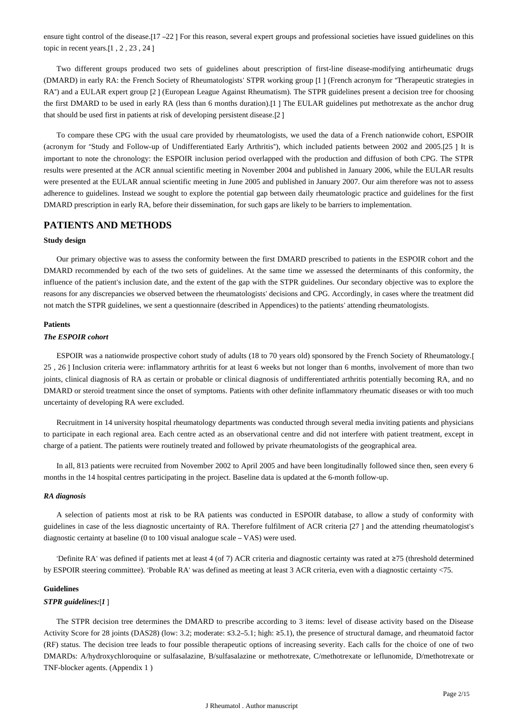ensure tight control of the disease.[17 –22 ] For this reason, several expert groups and professional societies have issued guidelines on this topic in recent years.[1 , 2 , 23 , 24 ]

Two different groups produced two sets of guidelines about prescription of first-line disease-modifying antirheumatic drugs (DMARD) in early RA: the French Society of Rheumatologists' STPR working group [1 ] (French acronym for "Therapeutic strategies in RA") and a EULAR expert group [2 ] (European League Against Rheumatism). The STPR guidelines present a decision tree for choosing the first DMARD to be used in early RA (less than 6 months duration).[1 ] The EULAR guidelines put methotrexate as the anchor drug that should be used first in patients at risk of developing persistent disease.[2 ]

To compare these CPG with the usual care provided by rheumatologists, we used the data of a French nationwide cohort, ESPOIR (acronym for "Study and Follow-up of Undifferentiated Early Arthritis"), which included patients between 2002 and 2005.[25 ] It is important to note the chronology: the ESPOIR inclusion period overlapped with the production and diffusion of both CPG. The STPR results were presented at the ACR annual scientific meeting in November 2004 and published in January 2006, while the EULAR results were presented at the EULAR annual scientific meeting in June 2005 and published in January 2007. Our aim therefore was not to assess adherence to guidelines. Instead we sought to explore the potential gap between daily rheumatologic practice and guidelines for the first DMARD prescription in early RA, before their dissemination, for such gaps are likely to be barriers to implementation.

## **PATIENTS AND METHODS**

## **Study design**

Our primary objective was to assess the conformity between the first DMARD prescribed to patients in the ESPOIR cohort and the DMARD recommended by each of the two sets of guidelines. At the same time we assessed the determinants of this conformity, the influence of the patient's inclusion date, and the extent of the gap with the STPR guidelines. Our secondary objective was to explore the reasons for any discrepancies we observed between the rheumatologists' decisions and CPG. Accordingly, in cases where the treatment did not match the STPR guidelines, we sent a questionnaire (described in Appendices) to the patients' attending rheumatologists.

## **Patients**

## *The ESPOIR cohort*

ESPOIR was a nationwide prospective cohort study of adults (18 to 70 years old) sponsored by the French Society of Rheumatology.[ 25 , 26 ] Inclusion criteria were: inflammatory arthritis for at least 6 weeks but not longer than 6 months, involvement of more than two joints, clinical diagnosis of RA as certain or probable or clinical diagnosis of undifferentiated arthritis potentially becoming RA, and no DMARD or steroid treatment since the onset of symptoms. Patients with other definite inflammatory rheumatic diseases or with too much uncertainty of developing RA were excluded.

Recruitment in 14 university hospital rheumatology departments was conducted through several media inviting patients and physicians to participate in each regional area. Each centre acted as an observational centre and did not interfere with patient treatment, except in charge of a patient. The patients were routinely treated and followed by private rheumatologists of the geographical area.

In all, 813 patients were recruited from November 2002 to April 2005 and have been longitudinally followed since then, seen every 6 months in the 14 hospital centres participating in the project. Baseline data is updated at the 6-month follow-up.

#### *RA diagnosis*

A selection of patients most at risk to be RA patients was conducted in ESPOIR database, to allow a study of conformity with guidelines in case of the less diagnostic uncertainty of RA. Therefore fulfilment of ACR criteria [27 ] and the attending rheumatologist's diagnostic certainty at baseline (0 to 100 visual analogue scale – VAS) were used.

'Definite RA' was defined if patients met at least 4 (of 7) ACR criteria and diagnostic certainty was rated at ≥75 (threshold determined by ESPOIR steering committee). 'Probable RA' was defined as meeting at least 3 ACR criteria, even with a diagnostic certainty <75.

## **Guidelines**

### *STPR guidelines:*[*1* ]

The STPR decision tree determines the DMARD to prescribe according to 3 items: level of disease activity based on the Disease Activity Score for 28 joints (DAS28) (low: 3.2; moderate: ≤3.2–5.1; high: ≥5.1), the presence of structural damage, and rheumatoid factor (RF) status. The decision tree leads to four possible therapeutic options of increasing severity. Each calls for the choice of one of two DMARDs: A/hydroxychloroquine or sulfasalazine, B/sulfasalazine or methotrexate, C/methotrexate or leflunomide, D/methotrexate or TNF-blocker agents. (Appendix 1 )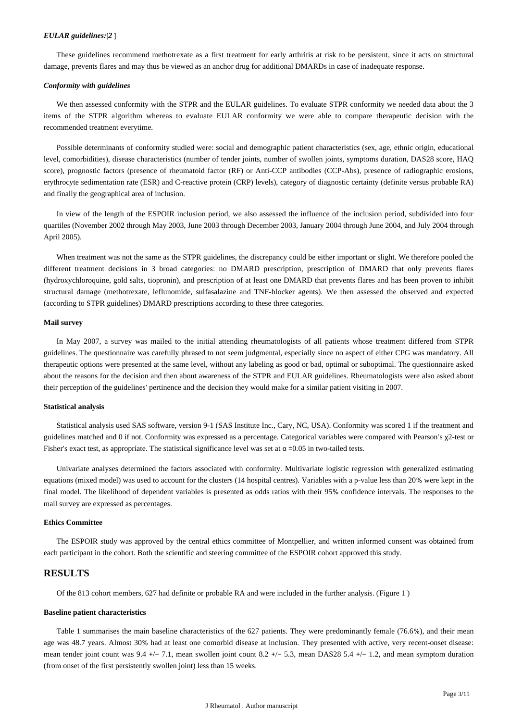#### *EULAR guidelines:*[*2* ]

These guidelines recommend methotrexate as a first treatment for early arthritis at risk to be persistent, since it acts on structural damage, prevents flares and may thus be viewed as an anchor drug for additional DMARDs in case of inadequate response.

#### *Conformity with guidelines*

We then assessed conformity with the STPR and the EULAR guidelines. To evaluate STPR conformity we needed data about the 3 items of the STPR algorithm whereas to evaluate EULAR conformity we were able to compare therapeutic decision with the recommended treatment everytime.

Possible determinants of conformity studied were: social and demographic patient characteristics (sex, age, ethnic origin, educational level, comorbidities), disease characteristics (number of tender joints, number of swollen joints, symptoms duration, DAS28 score, HAQ score), prognostic factors (presence of rheumatoid factor (RF) or Anti-CCP antibodies (CCP-Abs), presence of radiographic erosions, erythrocyte sedimentation rate (ESR) and C-reactive protein (CRP) levels), category of diagnostic certainty (definite versus probable RA) and finally the geographical area of inclusion.

In view of the length of the ESPOIR inclusion period, we also assessed the influence of the inclusion period, subdivided into four quartiles (November 2002 through May 2003, June 2003 through December 2003, January 2004 through June 2004, and July 2004 through April 2005).

When treatment was not the same as the STPR guidelines, the discrepancy could be either important or slight. We therefore pooled the different treatment decisions in 3 broad categories: no DMARD prescription, prescription of DMARD that only prevents flares (hydroxychloroquine, gold salts, tiopronin), and prescription of at least one DMARD that prevents flares and has been proven to inhibit structural damage (methotrexate, leflunomide, sulfasalazine and TNF-blocker agents). We then assessed the observed and expected (according to STPR guidelines) DMARD prescriptions according to these three categories.

#### **Mail survey**

In May 2007, a survey was mailed to the initial attending rheumatologists of all patients whose treatment differed from STPR guidelines. The questionnaire was carefully phrased to not seem judgmental, especially since no aspect of either CPG was mandatory. All therapeutic options were presented at the same level, without any labeling as good or bad, optimal or suboptimal. The questionnaire asked about the reasons for the decision and then about awareness of the STPR and EULAR guidelines. Rheumatologists were also asked about their perception of the guidelines' pertinence and the decision they would make for a similar patient visiting in 2007.

#### **Statistical analysis**

Statistical analysis used SAS software, version 9-1 (SAS Institute Inc., Cary, NC, USA). Conformity was scored 1 if the treatment and guidelines matched and 0 if not. Conformity was expressed as a percentage. Categorical variables were compared with Pearson's χ2-test or Fisher's exact test, as appropriate. The statistical significance level was set at  $\alpha$  =0.05 in two-tailed tests.

Univariate analyses determined the factors associated with conformity. Multivariate logistic regression with generalized estimating equations (mixed model) was used to account for the clusters (14 hospital centres). Variables with a p-value less than 20% were kept in the final model. The likelihood of dependent variables is presented as odds ratios with their 95% confidence intervals. The responses to the mail survey are expressed as percentages.

#### **Ethics Committee**

The ESPOIR study was approved by the central ethics committee of Montpellier, and written informed consent was obtained from each participant in the cohort. Both the scientific and steering committee of the ESPOIR cohort approved this study.

## **RESULTS**

Of the 813 cohort members, 627 had definite or probable RA and were included in the further analysis. (Figure 1 )

#### **Baseline patient characteristics**

Table 1 summarises the main baseline characteristics of the 627 patients. They were predominantly female (76.6%), and their mean age was 48.7 years. Almost 30% had at least one comorbid disease at inclusion. They presented with active, very recent-onset disease: mean tender joint count was 9.4 +/− 7.1, mean swollen joint count 8.2 +/− 5.3, mean DAS28 5.4 +/− 1.2, and mean symptom duration (from onset of the first persistently swollen joint) less than 15 weeks.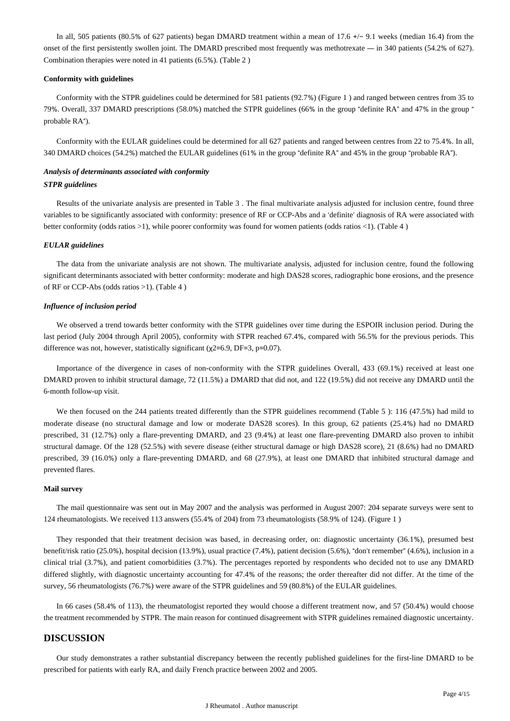In all, 505 patients (80.5% of 627 patients) began DMARD treatment within a mean of 17.6 +/− 9.1 weeks (median 16.4) from the onset of the first persistently swollen joint. The DMARD prescribed most frequently was methotrexate — in 340 patients (54.2% of 627). Combination therapies were noted in 41 patients (6.5%). (Table 2 )

### **Conformity with guidelines**

Conformity with the STPR guidelines could be determined for 581 patients (92.7%) (Figure 1 ) and ranged between centres from 35 to 79%. Overall, 337 DMARD prescriptions (58.0%) matched the STPR guidelines (66% in the group "definite RA" and 47% in the group " probable RA").

Conformity with the EULAR guidelines could be determined for all 627 patients and ranged between centres from 22 to 75.4%. In all, 340 DMARD choices (54.2%) matched the EULAR guidelines (61% in the group "definite RA" and 45% in the group "probable RA").

## *Analysis of determinants associated with conformity STPR guidelines*

Results of the univariate analysis are presented in Table 3 . The final multivariate analysis adjusted for inclusion centre, found three variables to be significantly associated with conformity: presence of RF or CCP-Abs and a 'definite' diagnosis of RA were associated with better conformity (odds ratios >1), while poorer conformity was found for women patients (odds ratios <1). (Table 4 )

#### *EULAR guidelines*

The data from the univariate analysis are not shown. The multivariate analysis, adjusted for inclusion centre, found the following significant determinants associated with better conformity: moderate and high DAS28 scores, radiographic bone erosions, and the presence of RF or CCP-Abs (odds ratios >1). (Table 4 )

#### *Influence of inclusion period*

We observed a trend towards better conformity with the STPR guidelines over time during the ESPOIR inclusion period. During the last period (July 2004 through April 2005), conformity with STPR reached 67.4%, compared with 56.5% for the previous periods. This difference was not, however, statistically significant ( $\chi$ 2=6.9, DF=3, p=0.07).

Importance of the divergence in cases of non-conformity with the STPR guidelines Overall, 433 (69.1%) received at least one DMARD proven to inhibit structural damage, 72 (11.5%) a DMARD that did not, and 122 (19.5%) did not receive any DMARD until the 6-month follow-up visit.

We then focused on the 244 patients treated differently than the STPR guidelines recommend (Table 5): 116 (47.5%) had mild to moderate disease (no structural damage and low or moderate DAS28 scores). In this group, 62 patients (25.4%) had no DMARD prescribed, 31 (12.7%) only a flare-preventing DMARD, and 23 (9.4%) at least one flare-preventing DMARD also proven to inhibit structural damage. Of the 128 (52.5%) with severe disease (either structural damage or high DAS28 score), 21 (8.6%) had no DMARD prescribed, 39 (16.0%) only a flare-preventing DMARD, and 68 (27.9%), at least one DMARD that inhibited structural damage and prevented flares.

#### **Mail survey**

The mail questionnaire was sent out in May 2007 and the analysis was performed in August 2007: 204 separate surveys were sent to 124 rheumatologists. We received 113 answers (55.4% of 204) from 73 rheumatologists (58.9% of 124). (Figure 1 )

They responded that their treatment decision was based, in decreasing order, on: diagnostic uncertainty (36.1%), presumed best benefit/risk ratio (25.0%), hospital decision (13.9%), usual practice (7.4%), patient decision (5.6%), "don't remember" (4.6%), inclusion in a clinical trial (3.7%), and patient comorbidities (3.7%). The percentages reported by respondents who decided not to use any DMARD differed slightly, with diagnostic uncertainty accounting for 47.4% of the reasons; the order thereafter did not differ. At the time of the survey, 56 rheumatologists (76.7%) were aware of the STPR guidelines and 59 (80.8%) of the EULAR guidelines.

In 66 cases (58.4% of 113), the rheumatologist reported they would choose a different treatment now, and 57 (50.4%) would choose the treatment recommended by STPR. The main reason for continued disagreement with STPR guidelines remained diagnostic uncertainty.

## **DISCUSSION**

Our study demonstrates a rather substantial discrepancy between the recently published guidelines for the first-line DMARD to be prescribed for patients with early RA, and daily French practice between 2002 and 2005.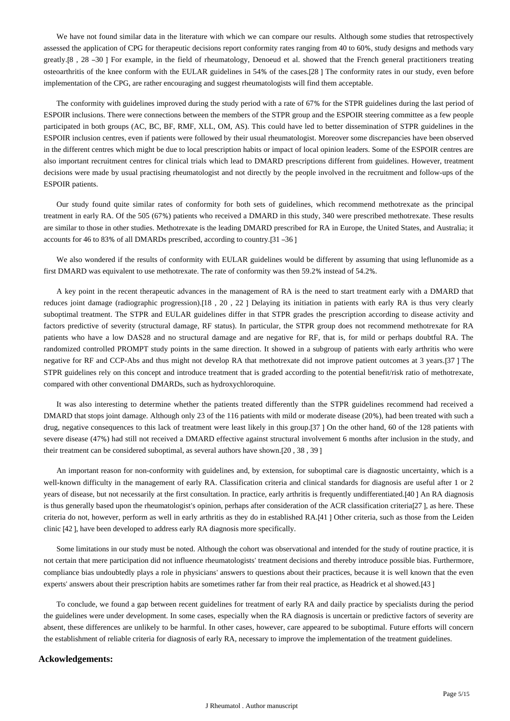We have not found similar data in the literature with which we can compare our results. Although some studies that retrospectively assessed the application of CPG for therapeutic decisions report conformity rates ranging from 40 to 60%, study designs and methods vary greatly.[8 , 28 –30 ] For example, in the field of rheumatology, Denoeud et al. showed that the French general practitioners treating osteoarthritis of the knee conform with the EULAR guidelines in 54% of the cases.[28 ] The conformity rates in our study, even before implementation of the CPG, are rather encouraging and suggest rheumatologists will find them acceptable.

The conformity with guidelines improved during the study period with a rate of 67% for the STPR guidelines during the last period of ESPOIR inclusions. There were connections between the members of the STPR group and the ESPOIR steering committee as a few people participated in both groups (AC, BC, BF, RMF, XLL, OM, AS). This could have led to better dissemination of STPR guidelines in the ESPOIR inclusion centres, even if patients were followed by their usual rheumatologist. Moreover some discrepancies have been observed in the different centres which might be due to local prescription habits or impact of local opinion leaders. Some of the ESPOIR centres are also important recruitment centres for clinical trials which lead to DMARD prescriptions different from guidelines. However, treatment decisions were made by usual practising rheumatologist and not directly by the people involved in the recruitment and follow-ups of the ESPOIR patients.

Our study found quite similar rates of conformity for both sets of guidelines, which recommend methotrexate as the principal treatment in early RA. Of the 505 (67%) patients who received a DMARD in this study, 340 were prescribed methotrexate. These results are similar to those in other studies. Methotrexate is the leading DMARD prescribed for RA in Europe, the United States, and Australia; it accounts for 46 to 83% of all DMARDs prescribed, according to country.[31 –36 ]

We also wondered if the results of conformity with EULAR guidelines would be different by assuming that using leflunomide as a first DMARD was equivalent to use methotrexate. The rate of conformity was then 59.2% instead of 54.2%.

A key point in the recent therapeutic advances in the management of RA is the need to start treatment early with a DMARD that reduces joint damage (radiographic progression).[18 , 20 , 22 ] Delaying its initiation in patients with early RA is thus very clearly suboptimal treatment. The STPR and EULAR guidelines differ in that STPR grades the prescription according to disease activity and factors predictive of severity (structural damage, RF status). In particular, the STPR group does not recommend methotrexate for RA patients who have a low DAS28 and no structural damage and are negative for RF, that is, for mild or perhaps doubtful RA. The randomized controlled PROMPT study points in the same direction. It showed in a subgroup of patients with early arthritis who were negative for RF and CCP-Abs and thus might not develop RA that methotrexate did not improve patient outcomes at 3 years.[37 ] The STPR guidelines rely on this concept and introduce treatment that is graded according to the potential benefit/risk ratio of methotrexate, compared with other conventional DMARDs, such as hydroxychloroquine.

It was also interesting to determine whether the patients treated differently than the STPR guidelines recommend had received a DMARD that stops joint damage. Although only 23 of the 116 patients with mild or moderate disease (20%), had been treated with such a drug, negative consequences to this lack of treatment were least likely in this group.[37 ] On the other hand, 60 of the 128 patients with severe disease (47%) had still not received a DMARD effective against structural involvement 6 months after inclusion in the study, and their treatment can be considered suboptimal, as several authors have shown.[20 , 38 , 39 ]

An important reason for non-conformity with guidelines and, by extension, for suboptimal care is diagnostic uncertainty, which is a well-known difficulty in the management of early RA. Classification criteria and clinical standards for diagnosis are useful after 1 or 2 years of disease, but not necessarily at the first consultation. In practice, early arthritis is frequently undifferentiated.[40 ] An RA diagnosis is thus generally based upon the rheumatologist's opinion, perhaps after consideration of the ACR classification criteria[27 ], as here. These criteria do not, however, perform as well in early arthritis as they do in established RA.[41 ] Other criteria, such as those from the Leiden clinic [42 ], have been developed to address early RA diagnosis more specifically.

Some limitations in our study must be noted. Although the cohort was observational and intended for the study of routine practice, it is not certain that mere participation did not influence rheumatologists' treatment decisions and thereby introduce possible bias. Furthermore, compliance bias undoubtedly plays a role in physicians' answers to questions about their practices, because it is well known that the even experts' answers about their prescription habits are sometimes rather far from their real practice, as Headrick et al showed.[43 ]

To conclude, we found a gap between recent guidelines for treatment of early RA and daily practice by specialists during the period the guidelines were under development. In some cases, especially when the RA diagnosis is uncertain or predictive factors of severity are absent, these differences are unlikely to be harmful. In other cases, however, care appeared to be suboptimal. Future efforts will concern the establishment of reliable criteria for diagnosis of early RA, necessary to improve the implementation of the treatment guidelines.

## **Ackowledgements:**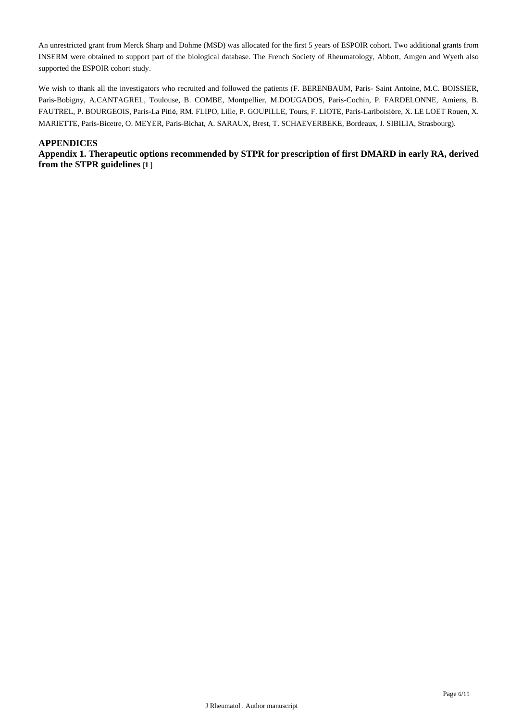An unrestricted grant from Merck Sharp and Dohme (MSD) was allocated for the first 5 years of ESPOIR cohort. Two additional grants from INSERM were obtained to support part of the biological database. The French Society of Rheumatology, Abbott, Amgen and Wyeth also supported the ESPOIR cohort study.

We wish to thank all the investigators who recruited and followed the patients (F. BERENBAUM, Paris- Saint Antoine, M.C. BOISSIER, Paris-Bobigny, A.CANTAGREL, Toulouse, B. COMBE, Montpellier, M.DOUGADOS, Paris-Cochin, P. FARDELONNE, Amiens, B. FAUTREL, P. BOURGEOIS, Paris-La Pitié, RM. FLIPO, Lille, P. GOUPILLE, Tours, F. LIOTE, Paris-Lariboisière, X. LE LOET Rouen, X. MARIETTE, Paris-Bicetre, O. MEYER, Paris-Bichat, A. SARAUX, Brest, T. SCHAEVERBEKE, Bordeaux, J. SIBILIA, Strasbourg).

## **APPENDICES**

**Appendix 1. Therapeutic options recommended by STPR for prescription of first DMARD in early RA, derived from the STPR guidelines** [**1** ]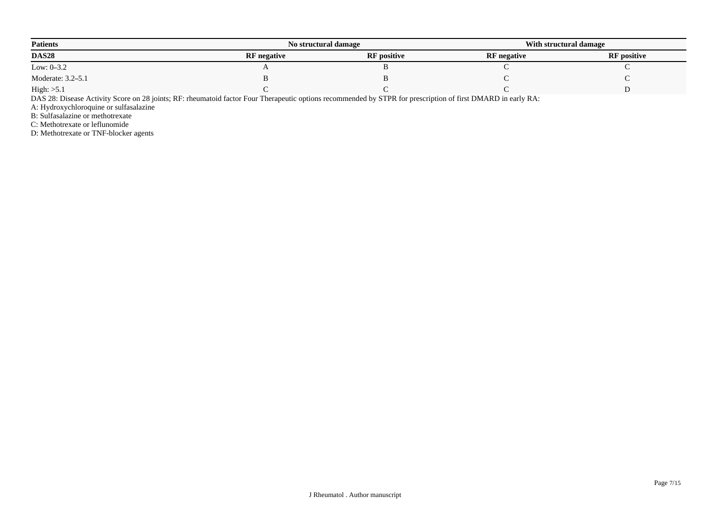| <b>Patients</b>   |                    | No structural damage |                    | With structural damage |  |
|-------------------|--------------------|----------------------|--------------------|------------------------|--|
| <b>DAS28</b>      | <b>RF</b> negative | <b>RF</b> positive   | <b>RF</b> negative | <b>RF</b> positive     |  |
| Low: $0 - 3.2$    |                    |                      |                    |                        |  |
| Moderate: 3.2–5.1 |                    |                      |                    |                        |  |
| High: >5.1        |                    |                      |                    |                        |  |

DAS 28: Disease Activity Score on 28 joints; RF: rheumatoid factor Four Therapeutic options recommended by STPR for prescription of first DMARD in early RA:

A: Hydroxychloroquine or sulfasalazine

B: Sulfasalazine or methotrexate

C: Methotrexate or leflunomide

D: Methotrexate or TNF-blocker agents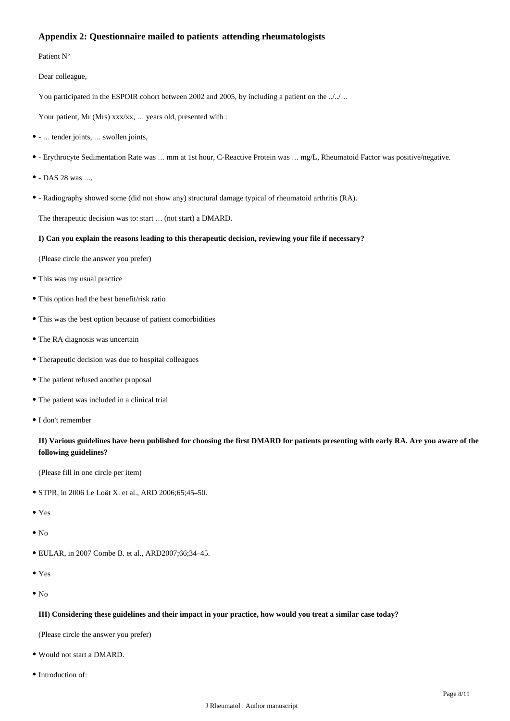## **Appendix 2: Questionnaire mailed to patients**' **attending rheumatologists**

Patient N°

Dear colleague,

You participated in the ESPOIR cohort between 2002 and 2005, by including a patient on the .././...

Your patient, Mr (Mrs) xxx/xx, ... years old, presented with :

- … tender joints, … swollen joints,
- Erythrocyte Sedimentation Rate was … mm at 1st hour, C-Reactive Protein was … mg/L, Rheumatoid Factor was positive/negative.
- DAS 28 was …,
- Radiography showed some (did not show any) structural damage typical of rheumatoid arthritis (RA).

The therapeutic decision was to: start … (not start) a DMARD.

## **I) Can you explain the reasons leading to this therapeutic decision, reviewing your file if necessary?**

(Please circle the answer you prefer)

- This was my usual practice
- This option had the best benefit/risk ratio
- This was the best option because of patient comorbidities
- The RA diagnosis was uncertain
- Therapeutic decision was due to hospital colleagues
- The patient refused another proposal
- The patient was included in a clinical trial
- I don't remember

## **II) Various guidelines have been published for choosing the first DMARD for patients presenting with early RA. Are you aware of the following guidelines?**

(Please fill in one circle per item)

- STPR, in 2006 Le Loët X. et al., ARD 2006;65;45–50.
- Yes
- $\bullet$  No
- EULAR, in 2007 Combe B. et al., ARD2007;66;34–45.
- Yes
- $\bullet$  No

#### **III) Considering these guidelines and their impact in your practice, how would you treat a similar case today?**

(Please circle the answer you prefer)

- Would not start a DMARD.
- Introduction of: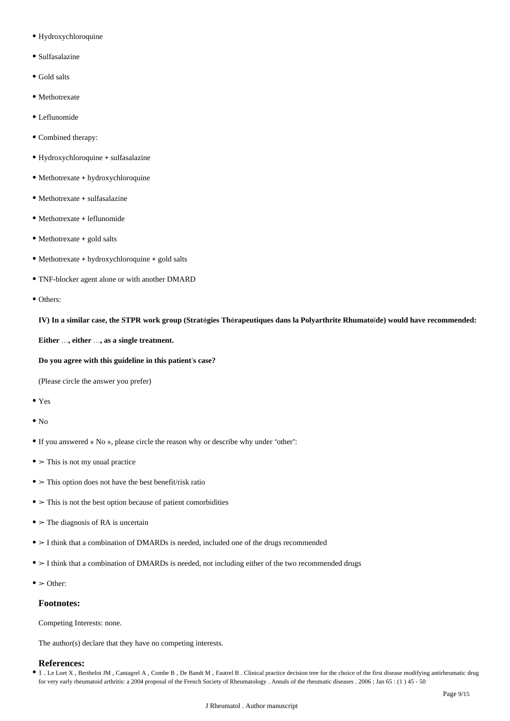- Hydroxychloroquine
- Sulfasalazine
- Gold salts
- Methotrexate
- Leflunomide
- Combined therapy:
- Hydroxychloroquine + sulfasalazine
- Methotrexate + hydroxychloroquine
- Methotrexate + sulfasalazine
- Methotrexate + leflunomide
- Methotrexate + gold salts
- Methotrexate + hydroxychloroquine + gold salts
- TNF-blocker agent alone or with another DMARD
- Others:

**IV) In a similar case, the STPR work group (Strat**é**gies Th**é**rapeutiques dans la Polyarthrite Rhumato**ï**de) would have recommended:**

**Either** …**, either** …**, as a single treatment.**

**Do you agree with this guideline in this patient**'**s case?**

(Please circle the answer you prefer)

- Yes
- $\bullet$  No
- If you answered « No », please circle the reason why or describe why under "other":
- $\bullet$  > This is not my usual practice
- ➢ This option does not have the best benefit/risk ratio
- $\bullet$   $>$  This is not the best option because of patient comorbidities
- $\bullet$  > The diagnosis of RA is uncertain
- $>$  I think that a combination of DMARDs is needed, included one of the drugs recommended
- $\bullet$  > I think that a combination of DMARDs is needed, not including either of the two recommended drugs
- $\bullet$   $>$  Other:

## **Footnotes:**

Competing Interests: none.

The author(s) declare that they have no competing interests.

## **References:**

1 . Le Loet X , Berthelot JM , Cantagrel A , Combe B , De Bandt M , Fautrel B . Clinical practice decision tree for the choice of the first disease modifying antirheumatic drug for very early rheumatoid arthritis: a 2004 proposal of the French Society of Rheumatology . Annals of the rheumatic diseases . 2006 ; Jan 65 : (1 ) 45 - 50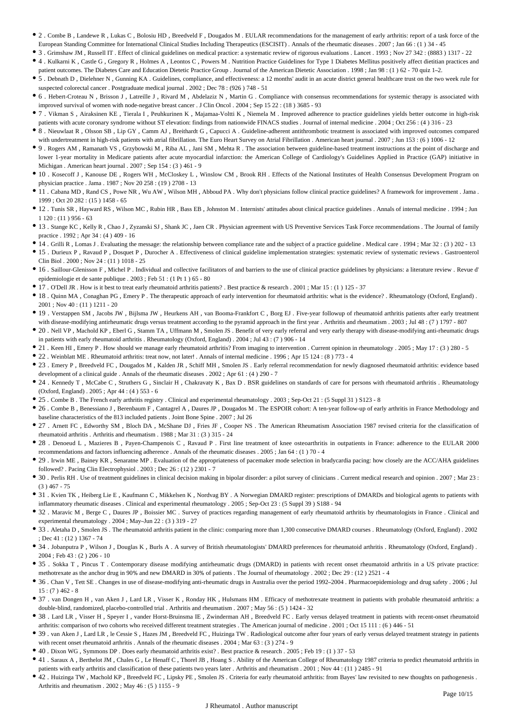- 2 . Combe B , Landewe R , Lukas C , Bolosiu HD , Breedveld F , Dougados M . EULAR recommendations for the management of early arthritis: report of a task force of the European Standing Committee for International Clinical Studies Including Therapeutics (ESCISIT) . Annals of the rheumatic diseases . 2007 ; Jan 66 : (1 ) 34 - 45
- 3 . Grimshaw JM, Russell IT. Effect of clinical guidelines on medical practice: a systematic review of rigorous evaluations . Lancet . 1993 ; Nov 27 342 : (8883 ) 1317 22
- 4 . Kulkarni K , Castle G , Gregory R , Holmes A , Leontos C , Powers M . Nutrition Practice Guidelines for Type 1 Diabetes Mellitus positively affect dietitian practices and patient outcomes. The Diabetes Care and Education Dietetic Practice Group . Journal of the American Dietetic Association . 1998 ; Jan 98 : (1) 62 - 70 quiz 1-2.
- 5 . Debnath D , Dielehner N , Gunning KA . Guidelines, compliance, and effectiveness: a 12 months' audit in an acute district general healthcare trust on the two week rule for suspected colorectal cancer . Postgraduate medical journal . 2002 ; Dec 78 : (926 ) 748 - 51
- 6 . Hebert-Croteau N , Brisson J , Latreille J , Rivard M , Abdelaziz N , Martin G . Compliance with consensus recommendations for systemic therapy is associated with improved survival of women with node-negative breast cancer . J Clin Oncol . 2004 ; Sep 15 22 : (18 ) 3685 - 93
- 7 . Vikman S , Airaksinen KE , Tierala I , Peuhkurinen K , Majamaa-Voltti K , Niemela M . Improved adherence to practice guidelines yields better outcome in high-risk patients with acute coronary syndrome without ST elevation: findings from nationwide FINACS studies . Journal of internal medicine . 2004 ; Oct 256 : (4 ) 316 - 23
- 8 . Nieuwlaat R , Olsson SB , Lip GY , Camm AJ , Breithardt G , Capucci A . Guideline-adherent antithrombotic treatment is associated with improved outcomes compared with undertreatment in high-risk patients with atrial fibrillation. The Euro Heart Survey on Atrial Fibrillation . American heart journal . 2007 ; Jun 153 : (6) 1006 - 12
- 9 . Rogers AM , Ramanath VS , Grzybowski M , Riba AL , Jani SM , Mehta R . The association between guideline-based treatment instructions at the point of discharge and lower 1-year mortality in Medicare patients after acute myocardial infarction: the American College of Cardiology's Guidelines Applied in Practice (GAP) initiative in Michigan . American heart journal . 2007 ; Sep 154 : (3 ) 461 - 9
- 10 . Kosecoff J , Kanouse DE , Rogers WH , McCloskey L , Winslow CM , Brook RH . Effects of the National Institutes of Health Consensus Development Program on physician practice . Jama . 1987 ; Nov 20 258 : (19 ) 2708 - 13
- 11 . Cabana MD , Rand CS , Powe NR , Wu AW , Wilson MH , Abboud PA . Why don't physicians follow clinical practice guidelines? A framework for improvement . Jama . 1999 ; Oct 20 282 : (15 ) 1458 - 65
- 12 . Tunis SR , Hayward RS , Wilson MC , Rubin HR , Bass EB , Johnston M . Internists' attitudes about clinical practice guidelines . Annals of internal medicine . 1994 ; Jun 1 120 : (11 ) 956 - 63
- 13 . Stange KC , Kelly R , Chao J , Zyzanski SJ , Shank JC , Jaen CR . Physician agreement with US Preventive Services Task Force recommendations . The Journal of family practice . 1992 ; Apr 34 : (4 ) 409 - 16
- 14 . Grilli R , Lomas J . Evaluating the message: the relationship between compliance rate and the subject of a practice guideline . Medical care . 1994 ; Mar 32 : (3 ) 202 13
- 15 . Durieux P , Ravaud P , Dosquet P , Durocher A . Effectiveness of clinical guideline implementation strategies: systematic review of systematic reviews . Gastroenterol Clin Biol . 2000 ; Nov 24 : (11 ) 1018 - 25
- 16 . Saillour-Glenisson F , Michel P . Individual and collective facilitators of and barriers to the use of clinical practice guidelines by physicians: a literature review . Revue d' epidemiologie et de sante publique . 2003 ; Feb 51 : (1 Pt 1 ) 65 - 80
- 17 . O'Dell JR . How is it best to treat early rheumatoid arthritis patients? . Best practice & research . 2001 ; Mar 15 : (1 ) 125 37
- 18 . Quinn MA , Conaghan PG , Emery P . The therapeutic approach of early intervention for rheumatoid arthritis: what is the evidence? . Rheumatology (Oxford, England) . 2001 ; Nov 40 : (11 ) 1211 - 20
- 19 . Verstappen SM , Jacobs JW , Bijlsma JW , Heurkens AH , van Booma-Frankfort C , Borg EJ . Five-year followup of rheumatoid arthritis patients after early treatment with disease-modifying antirheumatic drugs versus treatment according to the pyramid approach in the first year . Arthritis and rheumatism . 2003 ; Jul 48 : (7 ) 1797 - 807
- 20 . Nell VP , Machold KP , Eberl G , Stamm TA , Uffmann M , Smolen JS . Benefit of very early referral and very early therapy with disease-modifying anti-rheumatic drugs in patients with early rheumatoid arthritis . Rheumatology (Oxford, England) . 2004 ; Jul 43 : (7 ) 906 - 14
- 21 . Keen HI , Emery P . How should we manage early rheumatoid arthritis? From imaging to intervention . Current opinion in rheumatology . 2005 ; May 17 : (3 ) 280 5
- 22 . Weinblatt ME . Rheumatoid arthritis: treat now, not later! . Annals of internal medicine . 1996 ; Apr 15 124 : (8 ) 773 4
- 23 . Emery P , Breedveld FC , Dougados M , Kalden JR , Schiff MH , Smolen JS . Early referral recommendation for newly diagnosed rheumatoid arthritis: evidence based development of a clinical guide . Annals of the rheumatic diseases . 2002 ; Apr 61 : (4 ) 290 - 7
- 24 . Kennedy T , McCabe C , Struthers G , Sinclair H , Chakravaty K , Bax D . BSR guidelines on standards of care for persons with rheumatoid arthritis . Rheumatology (Oxford, England) . 2005 ; Apr 44 : (4 ) 553 - 6
- <sup>•</sup> 25 . Combe B . The French early arthritis registry . Clinical and experimental rheumatology . 2003 ; Sep-Oct 21 : (5 Suppl 31 ) S123 8
- 26 . Combe B , Benessiano J , Berenbaum F , Cantagrel A , Daures JP , Dougados M . The ESPOIR cohort: A ten-year follow-up of early arthritis in France Methodology and baseline characteristics of the 813 included patients . Joint Bone Spine . 2007 ; Jul 26
- 27 . Arnett FC , Edworthy SM , Bloch DA , McShane DJ , Fries JF , Cooper NS . The American Rheumatism Association 1987 revised criteria for the classification of rheumatoid arthritis . Arthritis and rheumatism . 1988 ; Mar 31 : (3 ) 315 - 24
- 28 . Denoeud L , Mazieres B , Payen-Champenois C , Ravaud P . First line treatment of knee osteoarthritis in outpatients in France: adherence to the EULAR 2000 recommendations and factors influencing adherence . Annals of the rheumatic diseases . 2005 ; Jan 64 : (1 ) 70 - 4
- 29 . Irwin ME , Bainey KR , Senaratne MP . Evaluation of the appropriateness of pacemaker mode selection in bradycardia pacing: how closely are the ACC/AHA guidelines followed? . Pacing Clin Electrophysiol . 2003 ; Dec 26 : (12 ) 2301 - 7
- 30 . Perlis RH . Use of treatment guidelines in clinical decision making in bipolar disorder: a pilot survey of clinicians . Current medical research and opinion . 2007 ; Mar 23 : (3 ) 467 - 75
- 31 . Kvien TK , Heiberg Lie E , Kaufmann C , Mikkelsen K , Nordvag BY . A Norwegian DMARD register: prescriptions of DMARDs and biological agents to patients with inflammatory rheumatic diseases . Clinical and experimental rheumatology . 2005 ; Sep-Oct 23 : (5 Suppl 39 ) S188 - 94
- 32 . Maravic M , Berge C , Daures JP , Boissier MC . Survey of practices regarding management of early rheumatoid arthritis by rheumatologists in France . Clinical and experimental rheumatology . 2004 ; May–Jun 22 : (3 ) 319 - 27
- 33 . Aletaha D , Smolen JS . The rheumatoid arthritis patient in the clinic: comparing more than 1,300 consecutive DMARD courses . Rheumatology (Oxford, England) . 2002 ; Dec 41 : (12 ) 1367 - 74
- 34 . Jobanputra P , Wilson J , Douglas K , Burls A . A survey of British rheumatologists' DMARD preferences for rheumatoid arthritis . Rheumatology (Oxford, England) . 2004 ; Feb 43 : (2 ) 206 - 10
- 35 . Sokka T , Pincus T . Contemporary disease modifying antirheumatic drugs (DMARD) in patients with recent onset rheumatoid arthritis in a US private practice: methotrexate as the anchor drug in 90% and new DMARD in 30% of patients . The Journal of rheumatology . 2002 ; Dec 29 : (12 ) 2521 - 4
- 36 . Chan V , Tett SE . Changes in use of disease-modifying anti-rheumatic drugs in Australia over the period 1992–2004 . Pharmacoepidemiology and drug safety . 2006 ; Jul  $15: (7)$  462 - 8
- 37 . van Dongen H , van Aken J , Lard LR , Visser K , Ronday HK , Hulsmans HM . Efficacy of methotrexate treatment in patients with probable rheumatoid arthritis: a double-blind, randomized, placebo-controlled trial . Arthritis and rheumatism . 2007 ; May 56 : (5 ) 1424 - 32
- 38 . Lard LR , Visser H , Speyer I , vander Horst-Bruinsma IE , Zwinderman AH , Breedveld FC . Early versus delayed treatment in patients with recent-onset rheumatoid arthritis: comparison of two cohorts who received different treatment strategies. The American journal of medicine  $2001 \cdot \text{Oct}$  15 111  $\cdot$  (6) 446 - 51
- 39 . van Aken J , Lard LR , le Cessie S , Hazes JM , Breedveld FC , Huizinga TW . Radiological outcome after four years of early versus delayed treatment strategy in patients with recent onset rheumatoid arthritis . Annals of the rheumatic diseases . 2004 ; Mar 63 : (3 ) 274 - 9
- 40 . Dixon WG , Symmons DP . Does early rheumatoid arthritis exist? . Best practice & research . 2005 ; Feb 19 : (1 ) 37 53
- 41 . Saraux A , Berthelot JM , Chales G , Le Henaff C , Thorel JB , Hoang S . Ability of the American College of Rheumatology 1987 criteria to predict rheumatoid arthritis in patients with early arthritis and classification of these patients two years later . Arthritis and rheumatism . 2001 ; Nov 44 : (11 ) 2485 - 91
- 42 . Huizinga TW , Machold KP , Breedveld FC , Lipsky PE , Smolen JS . Criteria for early rheumatoid arthritis: from Bayes' law revisited to new thoughts on pathogenesis . Arthritis and rheumatism . 2002 ; May 46 : (5 ) 1155 - 9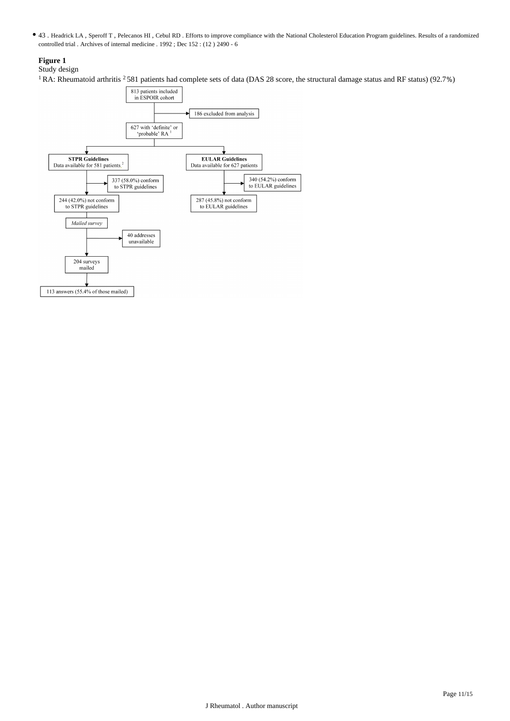43 . Headrick LA , Speroff T , Pelecanos HI , Cebul RD . Efforts to improve compliance with the National Cholesterol Education Program guidelines. Results of a randomized controlled trial . Archives of internal medicine . 1992 ; Dec 152 : (12 ) 2490 - 6

## **Figure 1**

## Study design

<sup>1</sup> RA: Rheumatoid arthritis <sup>2</sup> 581 patients had complete sets of data (DAS 28 score, the structural damage status and RF status) (92.7%)

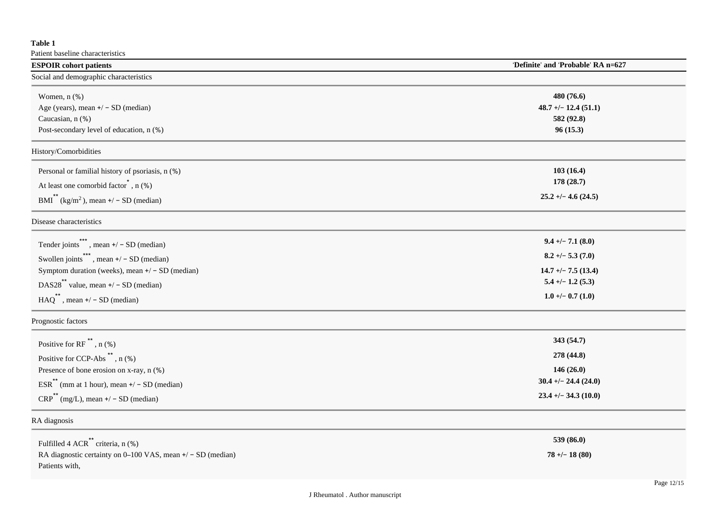## **Table 1**

Patient baseline characteristics

| <b>ESPOIR</b> cohort patients                                                                                                                                                                                                                                  | 'Definite' and 'Probable' RA n=627                                                                           |
|----------------------------------------------------------------------------------------------------------------------------------------------------------------------------------------------------------------------------------------------------------------|--------------------------------------------------------------------------------------------------------------|
| Social and demographic characteristics                                                                                                                                                                                                                         |                                                                                                              |
| Women, n (%)<br>Age (years), mean $+/-$ SD (median)<br>Caucasian, n (%)<br>Post-secondary level of education, n (%)                                                                                                                                            | 480 (76.6)<br>$48.7 + - 12.4(51.1)$<br>582 (92.8)<br>96(15.3)                                                |
| History/Comorbidities                                                                                                                                                                                                                                          |                                                                                                              |
| Personal or familial history of psoriasis, n (%)<br>At least one comorbid factor <sup>*</sup> , n (%)<br>$BMI^{\uparrow}$ (kg/m <sup>2</sup> ), mean +/ - SD (median)                                                                                          | 103(16.4)<br>178 (28.7)<br>$25.2 + - 4.6$ (24.5)                                                             |
| Disease characteristics                                                                                                                                                                                                                                        |                                                                                                              |
| Tender joints <sup>***</sup> , mean $+/-$ SD (median)<br>Swollen joints <sup>***</sup> , mean $+/-$ SD (median)<br>Symptom duration (weeks), mean $+/-$ SD (median)<br>DAS28 <sup>**</sup> value, mean $+/-$ SD (median)<br>$HAQ^{**}$ , mean +/ - SD (median) | $9.4 +/- 7.1(8.0)$<br>$8.2 + - 5.3(7.0)$<br>$14.7 + - 7.5(13.4)$<br>$5.4 + - 1.2$ (5.3)<br>$1.0 + -0.7(1.0)$ |
| Prognostic factors                                                                                                                                                                                                                                             |                                                                                                              |
| Positive for RF <sup>**</sup> , $n$ (%)<br>Positive for CCP-Abs $\ddot{\,}$ , n (%)<br>Presence of bone erosion on x-ray, n (%)<br>$ESR**$ (mm at 1 hour), mean $+/-$ SD (median)<br>$CRP^{\bullet\bullet}$ (mg/L), mean +/ - SD (median)                      | 343 (54.7)<br>278 (44.8)<br>146(26.0)<br>$30.4 + - 24.4(24.0)$<br>$23.4 + - 34.3(10.0)$                      |
| RA diagnosis                                                                                                                                                                                                                                                   |                                                                                                              |
| Fulfilled 4 ACR <sup>**</sup> criteria, n (%)<br>RA diagnostic certainty on 0-100 VAS, mean +/ - SD (median)<br>Patients with,                                                                                                                                 | 539 (86.0)<br>$78 + - 18(80)$                                                                                |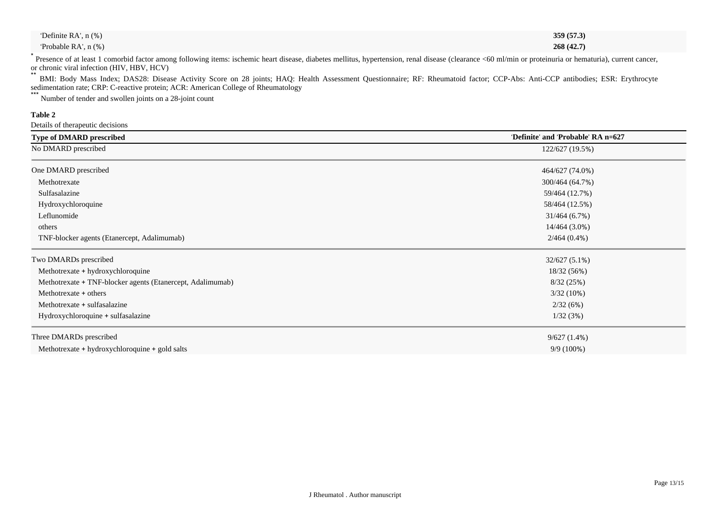| 'Definite RA', n (%) |  | 359 (57.3) |
|----------------------|--|------------|
| Probable RA', n (%)  |  | 268(42.7)  |
| .                    |  |            |

\* Presence of at least 1 comorbid factor among following items: ischemic heart disease, diabetes mellitus, hypertension, renal disease (clearance <60 ml/min or proteinuria or hematuria), current cancer, or chronic viral infection (HIV, HBV, HCV)

\*\* BMI: Body Mass Index; DAS28: Disease Activity Score on 28 joints; HAQ: Health Assessment Questionnaire; RF: Rheumatoid factor; CCP-Abs: Anti-CCP antibodies; ESR: Erythrocyte sedimentation rate; CRP: C-reactive protein; ACR: American College of Rheumatology

\*\*\* Number of tender and swollen joints on a 28-joint count

## **Table 2**

Details of therapeutic decisions

| <b>Type of DMARD prescribed</b>                            | 'Definite' and 'Probable' RA n=627 |
|------------------------------------------------------------|------------------------------------|
| No DMARD prescribed                                        | 122/627 (19.5%)                    |
| One DMARD prescribed                                       | 464/627 (74.0%)                    |
| Methotrexate                                               | 300/464 (64.7%)                    |
| Sulfasalazine                                              | 59/464 (12.7%)                     |
| Hydroxychloroquine                                         | 58/464 (12.5%)                     |
| Leflunomide                                                | 31/464(6.7%)                       |
| others                                                     | 14/464 (3.0%)                      |
| TNF-blocker agents (Etanercept, Adalimumab)                | $2/464(0.4\%)$                     |
| Two DMARDs prescribed                                      | $32/627(5.1\%)$                    |
| Methotrexate + hydroxychloroquine                          | 18/32 (56%)                        |
| Methotrexate + TNF-blocker agents (Etanercept, Adalimumab) | 8/32(25%)                          |
| Methotrexate + others                                      | $3/32(10\%)$                       |
| Methotrexate + sulfasalazine                               | 2/32(6%)                           |
| Hydroxychloroquine + sulfasalazine                         | 1/32(3%)                           |
| Three DMARDs prescribed                                    | 9/627(1.4%)                        |
| Methotrexate + hydroxychloroquine + gold salts             | $9/9(100\%)$                       |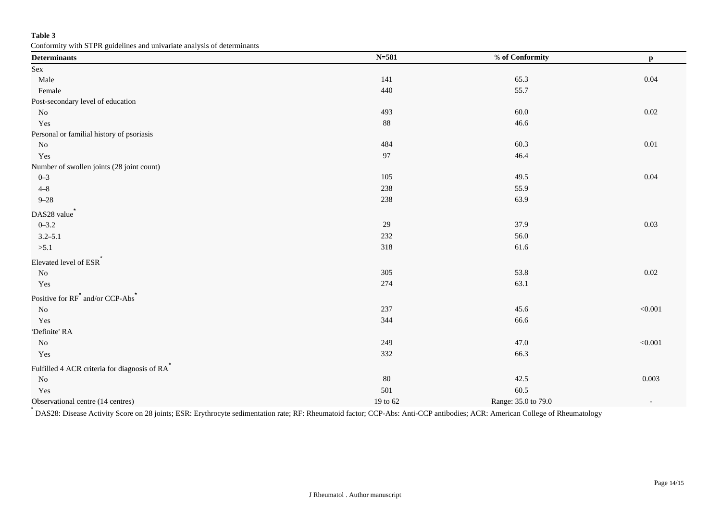## **Table 3**

Conformity with STPR guidelines and univariate analysis of determinants

| comorning while Bart Suite entropy and anti-variate analysis of determinants<br><b>Determinants</b> | $N = 581$ | % of Conformity     | $\mathbf{p}$             |
|-----------------------------------------------------------------------------------------------------|-----------|---------------------|--------------------------|
| Sex                                                                                                 |           |                     |                          |
| Male                                                                                                | 141       | 65.3                | 0.04                     |
| Female                                                                                              | 440       | 55.7                |                          |
| Post-secondary level of education                                                                   |           |                     |                          |
| No                                                                                                  | 493       | 60.0                | 0.02                     |
| Yes                                                                                                 | $88\,$    | 46.6                |                          |
| Personal or familial history of psoriasis                                                           |           |                     |                          |
| $\rm No$                                                                                            | 484       | 60.3                | $0.01\,$                 |
| Yes                                                                                                 | 97        | 46.4                |                          |
| Number of swollen joints (28 joint count)                                                           |           |                     |                          |
| $0 - 3$                                                                                             | 105       | 49.5                | 0.04                     |
| $4 - 8$                                                                                             | 238       | 55.9                |                          |
| $9 - 28$                                                                                            | 238       | 63.9                |                          |
| DAS28 value <sup>*</sup>                                                                            |           |                     |                          |
| $0 - 3.2$                                                                                           | 29        | 37.9                | 0.03                     |
| $3.2 - 5.1$                                                                                         | 232       | 56.0                |                          |
| >5.1                                                                                                | 318       | 61.6                |                          |
| Elevated level of ESR <sup>*</sup>                                                                  |           |                     |                          |
| $\rm No$                                                                                            | 305       | 53.8                | 0.02                     |
| Yes                                                                                                 | 274       | 63.1                |                          |
| Positive for RF <sup>*</sup> and/or CCP-Abs <sup>*</sup>                                            |           |                     |                          |
| $\rm No$                                                                                            | 237       | 45.6                | $<\!\!0.001$             |
| Yes                                                                                                 | 344       | 66.6                |                          |
| 'Definite' RA                                                                                       |           |                     |                          |
| $\rm No$                                                                                            | 249       | 47.0                | $<\!\!0.001$             |
| Yes                                                                                                 | 332       | 66.3                |                          |
| Fulfilled 4 ACR criteria for diagnosis of RA                                                        |           |                     |                          |
| $\rm No$                                                                                            | 80        | 42.5                | 0.003                    |
| Yes                                                                                                 | 501       | 60.5                |                          |
| Observational centre (14 centres)                                                                   | 19 to 62  | Range: 35.0 to 79.0 | $\overline{\phantom{a}}$ |

\* DAS28: Disease Activity Score on 28 joints; ESR: Erythrocyte sedimentation rate; RF: Rheumatoid factor; CCP-Abs: Anti-CCP antibodies; ACR: American College of Rheumatology